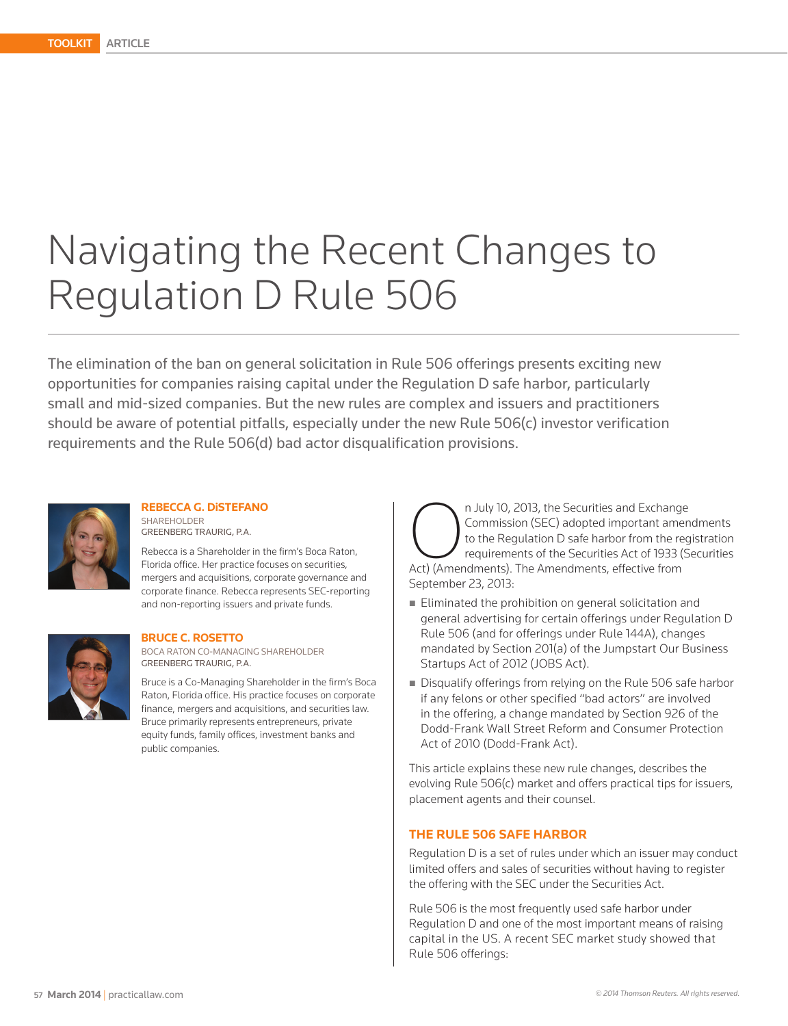# Navigating the Recent Changes to Regulation D Rule 506

The elimination of the ban on general solicitation in Rule 506 offerings presents exciting new opportunities for companies raising capital under the Regulation D safe harbor, particularly small and mid-sized companies. But the new rules are complex and issuers and practitioners should be aware of potential pitfalls, especially under the new Rule 506(c) investor verification requirements and the Rule 506(d) bad actor disqualification provisions.



**REBECCA G. DiSTEFANO** SHAREHOLDER GREENBERG TRAURIG, P.A.

Rebecca is a Shareholder in the firm's Boca Raton, Florida office. Her practice focuses on securities, mergers and acquisitions, corporate governance and corporate finance. Rebecca represents SEC-reporting and non-reporting issuers and private funds.



#### **BRUCE C. ROSETTO**

BOCA RATON CO-MANAGING SHAREHOLDER GREENBERG TRAURIG, P.A.

Bruce is a Co-Managing Shareholder in the firm's Boca Raton, Florida office. His practice focuses on corporate finance, mergers and acquisitions, and securities law. Bruce primarily represents entrepreneurs, private equity funds, family offices, investment banks and public companies.

n July 10, 2013, the Securities and Exchange<br>
Commission (SEC) adopted important amen<br>
to the Regulation D safe harbor from the reg<br>
requirements of the Securities Act of 1933 (S<br>
Act) (Amendments). The Amendments, effecti Commission (SEC) adopted important amendments to the Regulation D safe harbor from the registration requirements of the Securities Act of 1933 (Securities September 23, 2013:

- **Eliminated the prohibition on general solicitation and** general advertising for certain offerings under Regulation D Rule 506 (and for offerings under Rule 144A), changes mandated by Section 201(a) of the Jumpstart Our Business Startups Act of 2012 (JOBS Act).
- Disqualify offerings from relying on the Rule 506 safe harbor if any felons or other specified "bad actors" are involved in the offering, a change mandated by Section 926 of the Dodd-Frank Wall Street Reform and Consumer Protection Act of 2010 (Dodd-Frank Act).

This article explains these new rule changes, describes the evolving Rule 506(c) market and offers practical tips for issuers, placement agents and their counsel.

#### **THE RULE 506 SAFE HARBOR**

Regulation D is a set of rules under which an issuer may conduct limited offers and sales of securities without having to register the offering with the SEC under the Securities Act.

Rule 506 is the most frequently used safe harbor under Regulation D and one of the most important means of raising capital in the US. A recent SEC market study showed that Rule 506 offerings: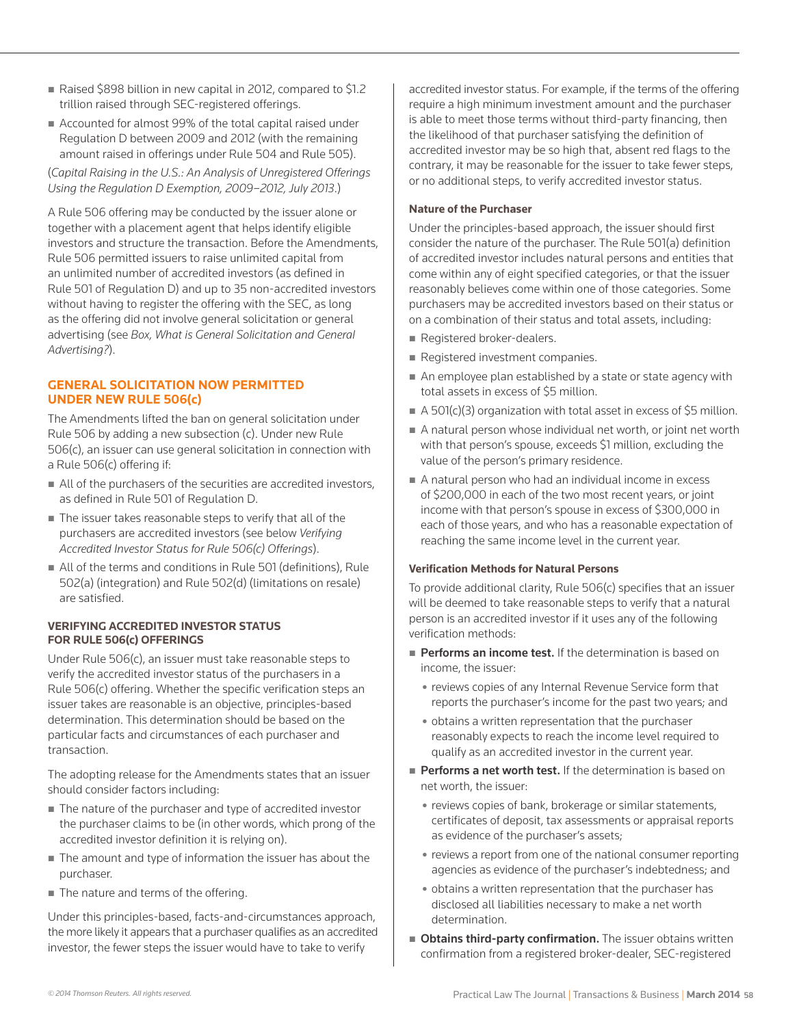- Raised \$898 billion in new capital in 2012, compared to \$1.2 trillion raised through SEC-registered offerings.
- Accounted for almost 99% of the total capital raised under Regulation D between 2009 and 2012 (with the remaining amount raised in offerings under Rule 504 and Rule 505).

(*Capital Raising in the U.S.: An Analysis of Unregistered Offerings Using the Regulation D Exemption, 2009–2012, July 2013*.)

A Rule 506 offering may be conducted by the issuer alone or together with a placement agent that helps identify eligible investors and structure the transaction. Before the Amendments, Rule 506 permitted issuers to raise unlimited capital from an unlimited number of accredited investors (as defined in Rule 501 of Regulation D) and up to 35 non-accredited investors without having to register the offering with the SEC, as long as the offering did not involve general solicitation or general advertising (see *Box, What is General Solicitation and General Advertising?*).

## **GENERAL SOLICITATION NOW PERMITTED UNDER NEW RULE 506(c)**

The Amendments lifted the ban on general solicitation under Rule 506 by adding a new subsection (c). Under new Rule 506(c), an issuer can use general solicitation in connection with a Rule 506(c) offering if:

- All of the purchasers of the securities are accredited investors, as defined in Rule 501 of Regulation D.
- The issuer takes reasonable steps to verify that all of the purchasers are accredited investors (see below *Verifying Accredited Investor Status for Rule 506(c) Offerings*).
- All of the terms and conditions in Rule 501 (definitions), Rule 502(a) (integration) and Rule 502(d) (limitations on resale) are satisfied.

## **VERIFYING ACCREDITED INVESTOR STATUS FOR RULE 506(c) OFFERINGS**

Under Rule 506(c), an issuer must take reasonable steps to verify the accredited investor status of the purchasers in a Rule 506(c) offering. Whether the specific verification steps an issuer takes are reasonable is an objective, principles-based determination. This determination should be based on the particular facts and circumstances of each purchaser and transaction.

The adopting release for the Amendments states that an issuer should consider factors including:

- The nature of the purchaser and type of accredited investor the purchaser claims to be (in other words, which prong of the accredited investor definition it is relying on).
- The amount and type of information the issuer has about the purchaser.
- The nature and terms of the offering.

Under this principles-based, facts-and-circumstances approach, the more likely it appears that a purchaser qualifies as an accredited investor, the fewer steps the issuer would have to take to verify

accredited investor status. For example, if the terms of the offering require a high minimum investment amount and the purchaser is able to meet those terms without third-party financing, then the likelihood of that purchaser satisfying the definition of accredited investor may be so high that, absent red flags to the contrary, it may be reasonable for the issuer to take fewer steps, or no additional steps, to verify accredited investor status.

## **Nature of the Purchaser**

Under the principles-based approach, the issuer should first consider the nature of the purchaser. The Rule 501(a) definition of accredited investor includes natural persons and entities that come within any of eight specified categories, or that the issuer reasonably believes come within one of those categories. Some purchasers may be accredited investors based on their status or on a combination of their status and total assets, including:

- Registered broker-dealers.
- Registered investment companies.
- An employee plan established by a state or state agency with total assets in excess of \$5 million.
- $\blacksquare$  A 501(c)(3) organization with total asset in excess of \$5 million.
- A natural person whose individual net worth, or joint net worth with that person's spouse, exceeds \$1 million, excluding the value of the person's primary residence.
- A natural person who had an individual income in excess of \$200,000 in each of the two most recent years, or joint income with that person's spouse in excess of \$300,000 in each of those years, and who has a reasonable expectation of reaching the same income level in the current year.

#### **Verification Methods for Natural Persons**

To provide additional clarity, Rule 506(c) specifies that an issuer will be deemed to take reasonable steps to verify that a natural person is an accredited investor if it uses any of the following verification methods:

- Performs an income test. If the determination is based on income, the issuer:
	- reviews copies of any Internal Revenue Service form that reports the purchaser's income for the past two years; and
	- obtains a written representation that the purchaser reasonably expects to reach the income level required to qualify as an accredited investor in the current year.
- Performs a net worth test. If the determination is based on net worth, the issuer:
	- reviews copies of bank, brokerage or similar statements, certificates of deposit, tax assessments or appraisal reports as evidence of the purchaser's assets;
	- reviews a report from one of the national consumer reporting agencies as evidence of the purchaser's indebtedness; and
	- obtains a written representation that the purchaser has disclosed all liabilities necessary to make a net worth determination.
- **Obtains third-party confirmation.** The issuer obtains written confirmation from a registered broker-dealer, SEC-registered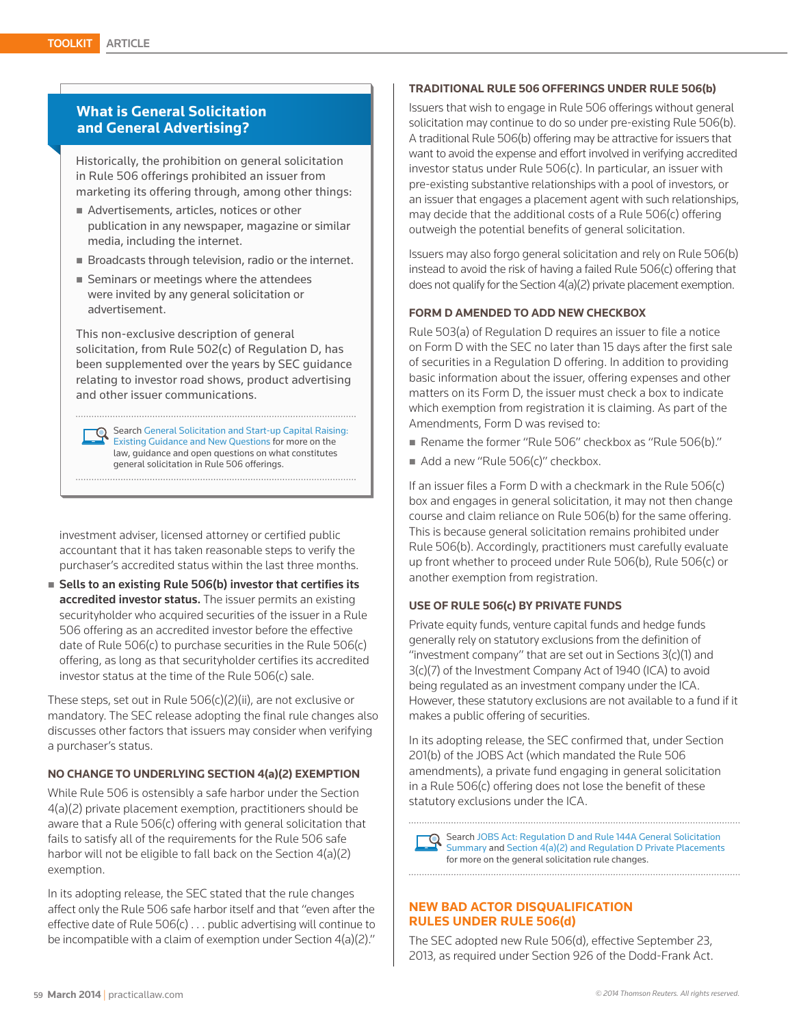## **What is General Solicitation and General Advertising?**

Historically, the prohibition on general solicitation in Rule 506 offerings prohibited an issuer from marketing its offering through, among other things:

- Advertisements, articles, notices or other publication in any newspaper, magazine or similar media, including the internet.
- Broadcasts through television, radio or the internet.
- Seminars or meetings where the attendees were invited by any general solicitation or advertisement.

This non-exclusive description of general solicitation, from Rule 502(c) of Regulation D, has been supplemented over the years by SEC guidance relating to investor road shows, product advertising and other issuer communications.

Search General Solicitation and Start-up Capital Raising: Existing Guidance and New Questions for more on the law, guidance and open questions on what constitutes general solicitation in Rule 506 offerings.

investment adviser, licensed attorney or certified public accountant that it has taken reasonable steps to verify the purchaser's accredited status within the last three months.

 $\blacksquare$  Sells to an existing Rule 506(b) investor that certifies its accredited investor status. The issuer permits an existing securityholder who acquired securities of the issuer in a Rule 506 offering as an accredited investor before the effective date of Rule 506(c) to purchase securities in the Rule 506(c) offering, as long as that securityholder certifies its accredited investor status at the time of the Rule 506(c) sale.

These steps, set out in Rule 506(c)(2)(ii), are not exclusive or mandatory. The SEC release adopting the final rule changes also discusses other factors that issuers may consider when verifying a purchaser's status.

## **NO CHANGE TO UNDERLYING SECTION 4(a)(2) EXEMPTION**

While Rule 506 is ostensibly a safe harbor under the Section 4(a)(2) private placement exemption, practitioners should be aware that a Rule 506(c) offering with general solicitation that fails to satisfy all of the requirements for the Rule 506 safe harbor will not be eligible to fall back on the Section 4(a)(2) exemption.

In its adopting release, the SEC stated that the rule changes affect only the Rule 506 safe harbor itself and that "even after the effective date of Rule 506(c) . . . public advertising will continue to be incompatible with a claim of exemption under Section 4(a)(2)."

#### **TRADITIONAL RULE 506 OFFERINGS UNDER RULE 506(b)**

Issuers that wish to engage in Rule 506 offerings without general solicitation may continue to do so under pre-existing Rule 506(b). A traditional Rule 506(b) offering may be attractive for issuers that want to avoid the expense and effort involved in verifying accredited investor status under Rule 506(c). In particular, an issuer with pre-existing substantive relationships with a pool of investors, or an issuer that engages a placement agent with such relationships, may decide that the additional costs of a Rule 506(c) offering outweigh the potential benefits of general solicitation.

Issuers may also forgo general solicitation and rely on Rule 506(b) instead to avoid the risk of having a failed Rule 506(c) offering that does not qualify for the Section 4(a)(2) private placement exemption.

## **FORM D AMENDED TO ADD NEW CHECKBOX**

Rule 503(a) of Regulation D requires an issuer to file a notice on Form D with the SEC no later than 15 days after the first sale of securities in a Regulation D offering. In addition to providing basic information about the issuer, offering expenses and other matters on its Form D, the issuer must check a box to indicate which exemption from registration it is claiming. As part of the Amendments, Form D was revised to:

- Rename the former "Rule 506" checkbox as "Rule 506(b)."
- Add a new "Rule 506(c)" checkbox.

If an issuer files a Form D with a checkmark in the Rule 506(c) box and engages in general solicitation, it may not then change course and claim reliance on Rule 506(b) for the same offering. This is because general solicitation remains prohibited under Rule 506(b). Accordingly, practitioners must carefully evaluate up front whether to proceed under Rule 506(b), Rule 506(c) or another exemption from registration.

#### **USE OF RULE 506(c) BY PRIVATE FUNDS**

Private equity funds, venture capital funds and hedge funds generally rely on statutory exclusions from the definition of "investment company" that are set out in Sections 3(c)(1) and 3(c)(7) of the Investment Company Act of 1940 (ICA) to avoid being regulated as an investment company under the ICA. However, these statutory exclusions are not available to a fund if it makes a public offering of securities.

In its adopting release, the SEC confirmed that, under Section 201(b) of the JOBS Act (which mandated the Rule 506 amendments), a private fund engaging in general solicitation in a Rule 506(c) offering does not lose the benefit of these statutory exclusions under the ICA.

Search JOBS Act: Regulation D and Rule 144A General Solicitation Summary and Section 4(a)(2) and Regulation D Private Placements for more on the general solicitation rule changes.

## **NEW BAD ACTOR DISQUALIFICATION RULES UNDER RULE 506(d)**

The SEC adopted new Rule 506(d), effective September 23, 2013, as required under Section 926 of the Dodd-Frank Act.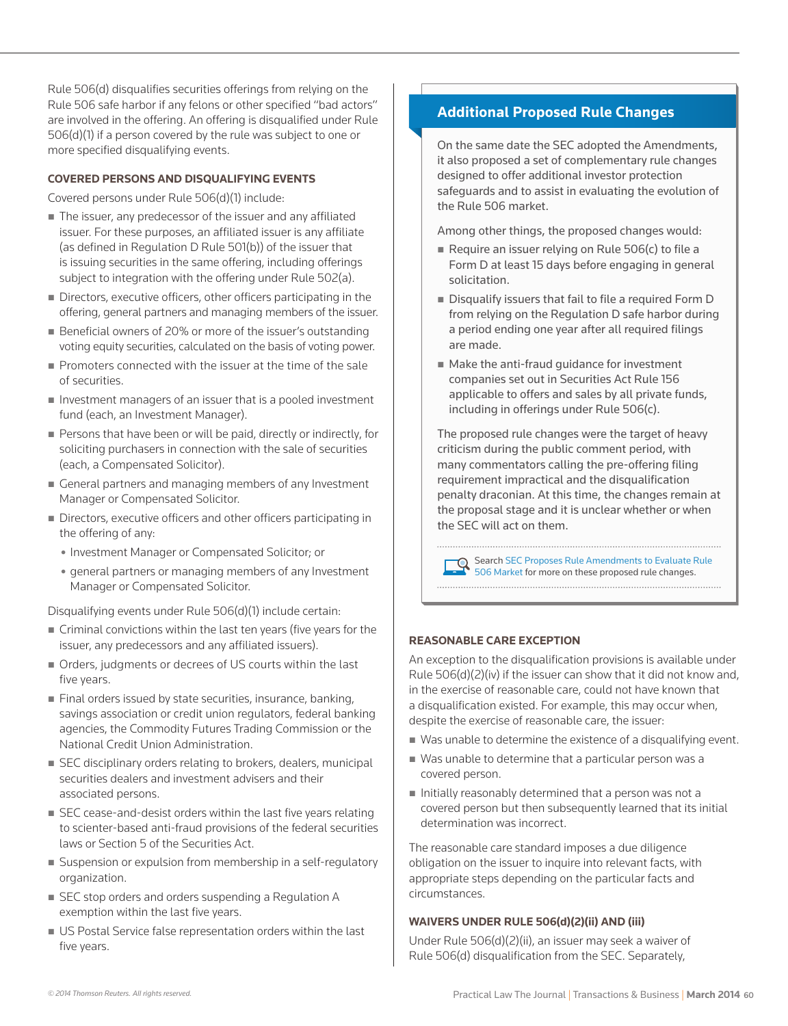Rule 506(d) disqualifies securities offerings from relying on the Rule 506 safe harbor if any felons or other specified "bad actors" are involved in the offering. An offering is disqualified under Rule 506(d)(1) if a person covered by the rule was subject to one or more specified disqualifying events.

## **COVERED PERSONS AND DISQUALIFYING EVENTS**

Covered persons under Rule 506(d)(1) include:

- The issuer, any predecessor of the issuer and any affiliated issuer. For these purposes, an affiliated issuer is any affiliate (as defined in Regulation D Rule 501(b)) of the issuer that is issuing securities in the same offering, including offerings subject to integration with the offering under Rule 502(a).
- Directors, executive officers, other officers participating in the offering, general partners and managing members of the issuer.
- Beneficial owners of 20% or more of the issuer's outstanding voting equity securities, calculated on the basis of voting power.
- **Promoters connected with the issuer at the time of the sale** of securities.
- $\blacksquare$  Investment managers of an issuer that is a pooled investment fund (each, an Investment Manager).
- Persons that have been or will be paid, directly or indirectly, for soliciting purchasers in connection with the sale of securities (each, a Compensated Solicitor).
- General partners and managing members of any Investment Manager or Compensated Solicitor.
- Directors, executive officers and other officers participating in the offering of any:
	- Investment Manager or Compensated Solicitor; or
	- general partners or managing members of any Investment Manager or Compensated Solicitor.

Disqualifying events under Rule 506(d)(1) include certain:

- Criminal convictions within the last ten years (five years for the issuer, any predecessors and any affiliated issuers).
- Orders, judgments or decrees of US courts within the last five years.
- Final orders issued by state securities, insurance, banking, savings association or credit union regulators, federal banking agencies, the Commodity Futures Trading Commission or the National Credit Union Administration.
- SEC disciplinary orders relating to brokers, dealers, municipal securities dealers and investment advisers and their associated persons.
- SEC cease-and-desist orders within the last five years relating to scienter-based anti-fraud provisions of the federal securities laws or Section 5 of the Securities Act.
- Suspension or expulsion from membership in a self-regulatory organization.
- SEC stop orders and orders suspending a Regulation A exemption within the last five years.
- US Postal Service false representation orders within the last five years.

# **Additional Proposed Rule Changes**

On the same date the SEC adopted the Amendments, it also proposed a set of complementary rule changes designed to offer additional investor protection safeguards and to assist in evaluating the evolution of the Rule 506 market.

Among other things, the proposed changes would:

- Require an issuer relying on Rule  $506(c)$  to file a Form D at least 15 days before engaging in general solicitation.
- Disqualify issuers that fail to file a required Form D from relying on the Regulation D safe harbor during a period ending one year after all required filings are made.
- Make the anti-fraud quidance for investment companies set out in Securities Act Rule 156 applicable to offers and sales by all private funds, including in offerings under Rule 506(c).

The proposed rule changes were the target of heavy criticism during the public comment period, with many commentators calling the pre-offering filing requirement impractical and the disqualification penalty draconian. At this time, the changes remain at the proposal stage and it is unclear whether or when the SEC will act on them.

Search SEC Proposes Rule Amendments to Evaluate Rule 506 Market for more on these proposed rule changes. 

#### **REASONABLE CARE EXCEPTION**

An exception to the disqualification provisions is available under Rule 506(d)(2)(iv) if the issuer can show that it did not know and, in the exercise of reasonable care, could not have known that a disqualification existed. For example, this may occur when, despite the exercise of reasonable care, the issuer:

- Was unable to determine the existence of a disqualifying event.
- Was unable to determine that a particular person was a covered person.
- $\blacksquare$  Initially reasonably determined that a person was not a covered person but then subsequently learned that its initial determination was incorrect.

The reasonable care standard imposes a due diligence obligation on the issuer to inquire into relevant facts, with appropriate steps depending on the particular facts and circumstances.

#### **WAIVERS UNDER RULE 506(d)(2)(ii) AND (iii)**

Under Rule 506(d)(2)(ii), an issuer may seek a waiver of Rule 506(d) disqualification from the SEC. Separately,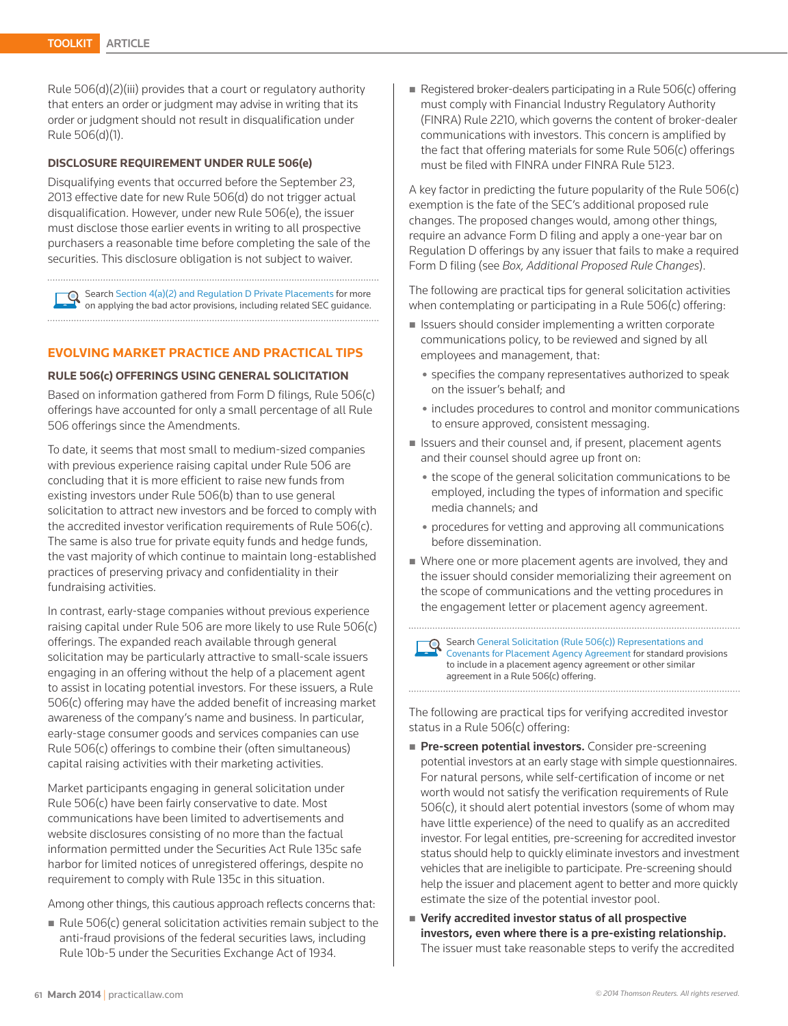Rule 506(d)(2)(iii) provides that a court or regulatory authority that enters an order or judgment may advise in writing that its order or judgment should not result in disqualification under Rule 506(d)(1).

#### **DISCLOSURE REQUIREMENT UNDER RULE 506(e)**

Disqualifying events that occurred before the September 23, 2013 effective date for new Rule 506(d) do not trigger actual disqualification. However, under new Rule 506(e), the issuer must disclose those earlier events in writing to all prospective purchasers a reasonable time before completing the sale of the securities. This disclosure obligation is not subject to waiver.

Search Section 4(a)(2) and Regulation D Private Placements for more on applying the bad actor provisions, including related SEC guidance. 

#### **EVOLVING MARKET PRACTICE AND PRACTICAL TIPS**

#### **RULE 506(c) OFFERINGS USING GENERAL SOLICITATION**

Based on information gathered from Form D filings, Rule 506(c) offerings have accounted for only a small percentage of all Rule 506 offerings since the Amendments.

To date, it seems that most small to medium-sized companies with previous experience raising capital under Rule 506 are concluding that it is more efficient to raise new funds from existing investors under Rule 506(b) than to use general solicitation to attract new investors and be forced to comply with the accredited investor verification requirements of Rule 506(c). The same is also true for private equity funds and hedge funds, the vast majority of which continue to maintain long-established practices of preserving privacy and confidentiality in their fundraising activities.

In contrast, early-stage companies without previous experience raising capital under Rule 506 are more likely to use Rule 506(c) offerings. The expanded reach available through general solicitation may be particularly attractive to small-scale issuers engaging in an offering without the help of a placement agent to assist in locating potential investors. For these issuers, a Rule 506(c) offering may have the added benefit of increasing market awareness of the company's name and business. In particular, early-stage consumer goods and services companies can use Rule 506(c) offerings to combine their (often simultaneous) capital raising activities with their marketing activities.

Market participants engaging in general solicitation under Rule 506(c) have been fairly conservative to date. Most communications have been limited to advertisements and website disclosures consisting of no more than the factual information permitted under the Securities Act Rule 135c safe harbor for limited notices of unregistered offerings, despite no requirement to comply with Rule 135c in this situation.

Among other things, this cautious approach reflects concerns that:

Rule  $506(c)$  general solicitation activities remain subject to the anti-fraud provisions of the federal securities laws, including Rule 10b-5 under the Securities Exchange Act of 1934.

Registered broker-dealers participating in a Rule 506(c) offering must comply with Financial Industry Regulatory Authority (FINRA) Rule 2210, which governs the content of broker-dealer communications with investors. This concern is amplified by the fact that offering materials for some Rule 506(c) offerings must be filed with FINRA under FINRA Rule 5123.

A key factor in predicting the future popularity of the Rule 506(c) exemption is the fate of the SEC's additional proposed rule changes. The proposed changes would, among other things, require an advance Form D filing and apply a one-year bar on Regulation D offerings by any issuer that fails to make a required Form D filing (see *Box, Additional Proposed Rule Changes*).

The following are practical tips for general solicitation activities when contemplating or participating in a Rule 506(c) offering:

- Issuers should consider implementing a written corporate communications policy, to be reviewed and signed by all employees and management, that:
	- specifies the company representatives authorized to speak on the issuer's behalf; and
	- includes procedures to control and monitor communications to ensure approved, consistent messaging.
- Issuers and their counsel and, if present, placement agents and their counsel should agree up front on:
	- the scope of the general solicitation communications to be employed, including the types of information and specific media channels; and
	- procedures for vetting and approving all communications before dissemination.
- Where one or more placement agents are involved, they and the issuer should consider memorializing their agreement on the scope of communications and the vetting procedures in the engagement letter or placement agency agreement.

Search General Solicitation (Rule 506(c)) Representations and Covenants for Placement Agency Agreement for standard provisions to include in a placement agency agreement or other similar agreement in a Rule 506(c) offering.

The following are practical tips for verifying accredited investor status in a Rule 506(c) offering:

- Pre-screen potential investors. Consider pre-screening potential investors at an early stage with simple questionnaires. For natural persons, while self-certification of income or net worth would not satisfy the verification requirements of Rule 506(c), it should alert potential investors (some of whom may have little experience) of the need to qualify as an accredited investor. For legal entities, pre-screening for accredited investor status should help to quickly eliminate investors and investment vehicles that are ineligible to participate. Pre-screening should help the issuer and placement agent to better and more quickly estimate the size of the potential investor pool.
- Verify accredited investor status of all prospective investors, even where there is a pre-existing relationship. The issuer must take reasonable steps to verify the accredited